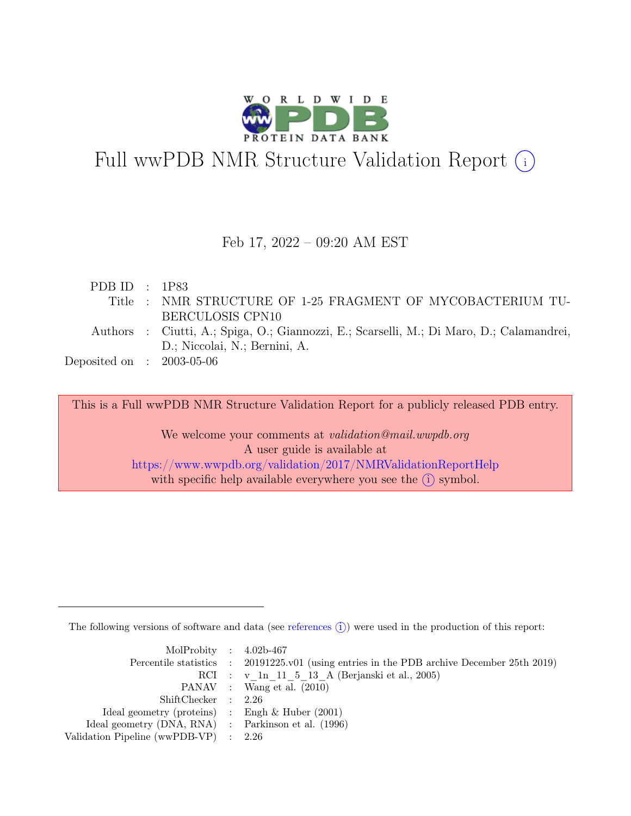

# Full wwPDB NMR Structure Validation Report (i)

#### Feb 17, 2022 – 09:20 AM EST

| PDB ID : $1P83$             |                                                                                          |
|-----------------------------|------------------------------------------------------------------------------------------|
|                             | Title : NMR STRUCTURE OF 1-25 FRAGMENT OF MYCOBACTERIUM TU-                              |
|                             | BERCULOSIS CPN10                                                                         |
|                             | Authors : Ciutti, A.; Spiga, O.; Giannozzi, E.; Scarselli, M.; Di Maro, D.; Calamandrei, |
|                             | D.; Niccolai, N.; Bernini, A.                                                            |
| Deposited on : $2003-05-06$ |                                                                                          |
|                             |                                                                                          |

This is a Full wwPDB NMR Structure Validation Report for a publicly released PDB entry.

We welcome your comments at *validation@mail.wwpdb.org* A user guide is available at <https://www.wwpdb.org/validation/2017/NMRValidationReportHelp> with specific help available everywhere you see the  $(i)$  symbol.

The following versions of software and data (see [references](https://www.wwpdb.org/validation/2017/NMRValidationReportHelp#references)  $\hat{I}$ ) were used in the production of this report:

| MolProbity : $4.02b-467$                            |                                                                                            |
|-----------------------------------------------------|--------------------------------------------------------------------------------------------|
|                                                     | Percentile statistics : 20191225.v01 (using entries in the PDB archive December 25th 2019) |
|                                                     | RCI : v 1n 11 5 13 A (Berjanski et al., 2005)                                              |
|                                                     | PANAV : Wang et al. (2010)                                                                 |
| ShiftChecker : 2.26                                 |                                                                                            |
| Ideal geometry (proteins) : Engh $\&$ Huber (2001)  |                                                                                            |
| Ideal geometry (DNA, RNA) : Parkinson et al. (1996) |                                                                                            |
| Validation Pipeline (wwPDB-VP) $\therefore$ 2.26    |                                                                                            |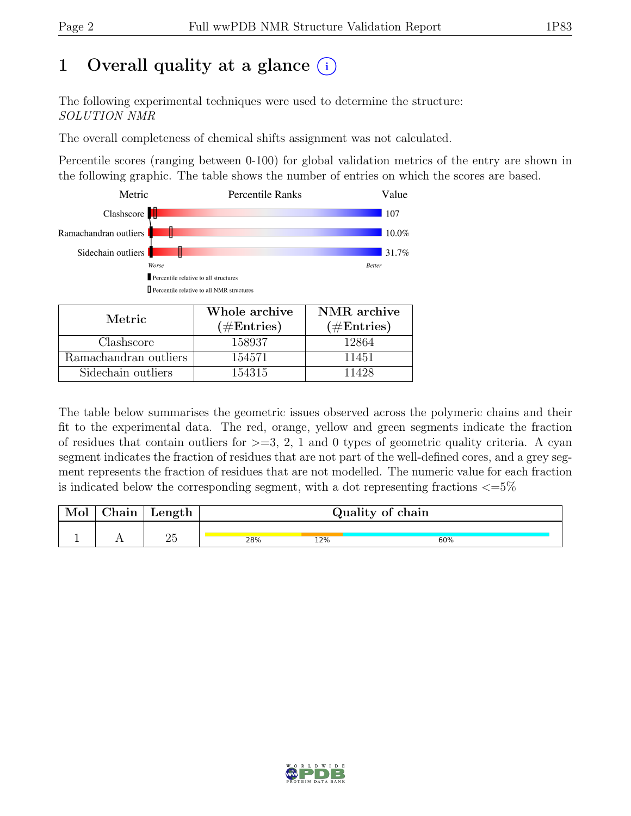## 1 Overall quality at a glance  $(i)$

The following experimental techniques were used to determine the structure: SOLUTION NMR

The overall completeness of chemical shifts assignment was not calculated.

Percentile scores (ranging between 0-100) for global validation metrics of the entry are shown in the following graphic. The table shows the number of entries on which the scores are based.



| Metric.               | Whole archive<br>$(\#Entries)$ | NMR archive<br>$(\#Entries)$ |
|-----------------------|--------------------------------|------------------------------|
| Clashscore            | 158937                         | 12864                        |
| Ramachandran outliers | 154571                         | 11451                        |
| Sidechain outliers    | 154315                         | 11428                        |

The table below summarises the geometric issues observed across the polymeric chains and their fit to the experimental data. The red, orange, yellow and green segments indicate the fraction of residues that contain outliers for  $>=$  3, 2, 1 and 0 types of geometric quality criteria. A cyan segment indicates the fraction of residues that are not part of the well-defined cores, and a grey segment represents the fraction of residues that are not modelled. The numeric value for each fraction is indicated below the corresponding segment, with a dot representing fractions  $\langle=5\%$ 

| Mol | Chain | Length |     |     | Quality of chain |
|-----|-------|--------|-----|-----|------------------|
|     |       | ∠ບ     | 28% | 12% | 60%              |

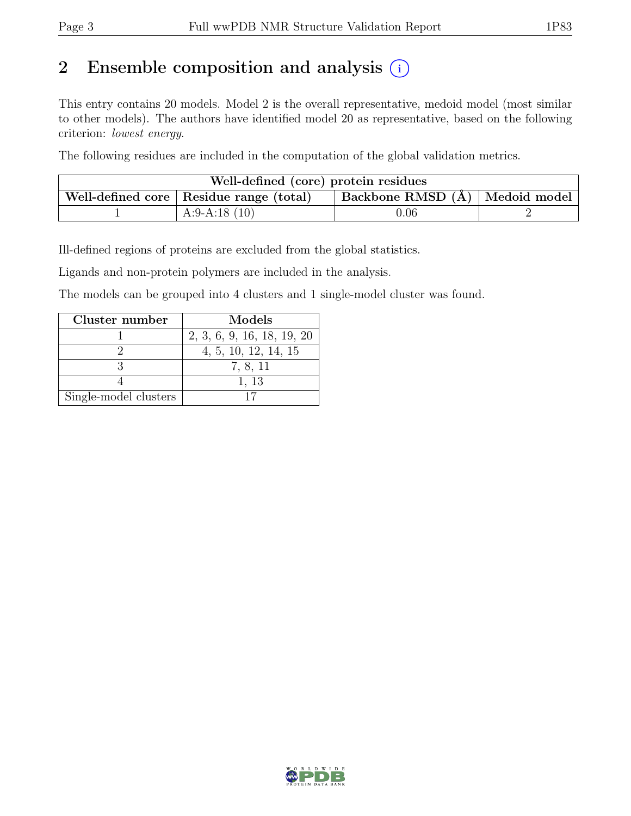## 2 Ensemble composition and analysis  $(i)$

This entry contains 20 models. Model 2 is the overall representative, medoid model (most similar to other models). The authors have identified model 20 as representative, based on the following criterion: lowest energy.

The following residues are included in the computation of the global validation metrics.

| Well-defined (core) protein residues |                                           |                                  |  |
|--------------------------------------|-------------------------------------------|----------------------------------|--|
|                                      | Well-defined core   Residue range (total) | Backbone RMSD (Å)   Medoid model |  |
|                                      | A:9-A:18 $(10)$                           | 0.06                             |  |

Ill-defined regions of proteins are excluded from the global statistics.

Ligands and non-protein polymers are included in the analysis.

The models can be grouped into 4 clusters and 1 single-model cluster was found.

| Cluster number        | Models                     |
|-----------------------|----------------------------|
|                       | 2, 3, 6, 9, 16, 18, 19, 20 |
|                       | 4, 5, 10, 12, 14, 15       |
|                       | 7, 8, 11                   |
|                       | 1, 13                      |
| Single-model clusters |                            |

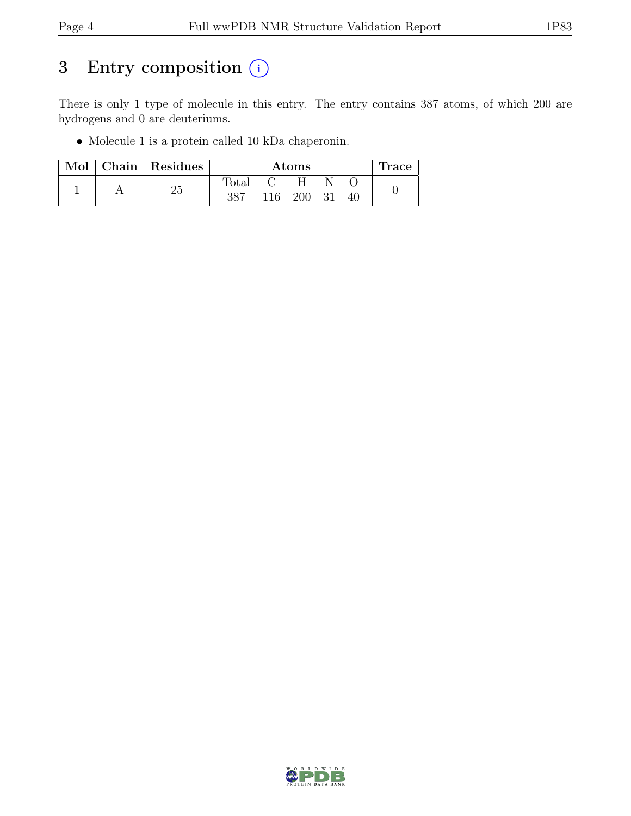## 3 Entry composition  $(i)$

There is only 1 type of molecule in this entry. The entry contains 387 atoms, of which 200 are hydrogens and 0 are deuteriums.

• Molecule 1 is a protein called 10 kDa chaperonin.

| Mol | Chain   Residues |              |     | $\rm{Atoms}$ |    |    | Trace |
|-----|------------------|--------------|-----|--------------|----|----|-------|
|     | つに               | <b>Total</b> |     |              |    |    |       |
|     | ∠ట               | 387          | 116 | 200          | 31 | 40 |       |

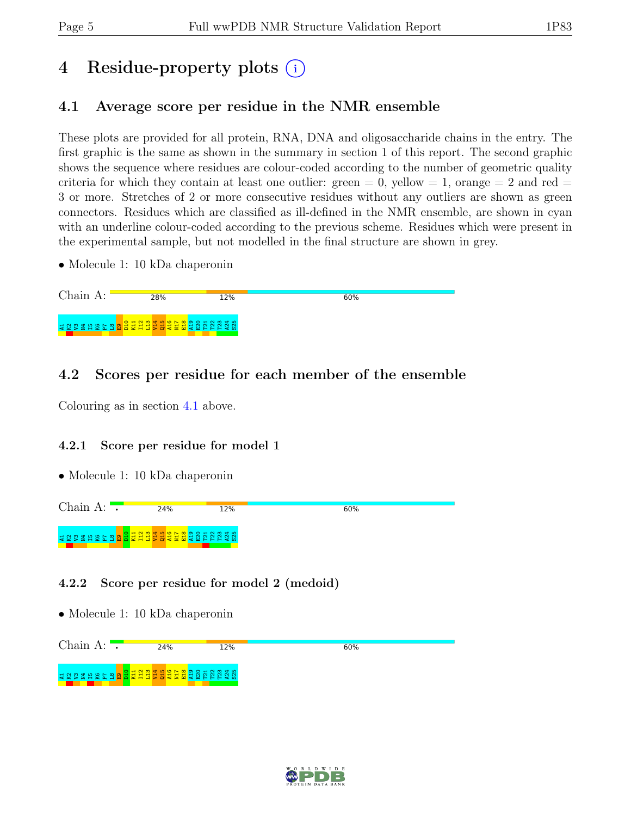## 4 Residue-property plots (i)

### <span id="page-4-0"></span>4.1 Average score per residue in the NMR ensemble

These plots are provided for all protein, RNA, DNA and oligosaccharide chains in the entry. The first graphic is the same as shown in the summary in section 1 of this report. The second graphic shows the sequence where residues are colour-coded according to the number of geometric quality criteria for which they contain at least one outlier:  $green = 0$ ,  $yellow = 1$ ,  $orange = 2$  and  $red =$ 3 or more. Stretches of 2 or more consecutive residues without any outliers are shown as green connectors. Residues which are classified as ill-defined in the NMR ensemble, are shown in cyan with an underline colour-coded according to the previous scheme. Residues which were present in the experimental sample, but not modelled in the final structure are shown in grey.

• Molecule 1: 10 kDa chaperonin

### 4.2 Scores per residue for each member of the ensemble

Colouring as in section [4.1](#page-4-0) above.

#### 4.2.1 Score per residue for model 1

• Molecule 1: 10 kDa chaperonin



#### 4.2.2 Score per residue for model 2 (medoid)



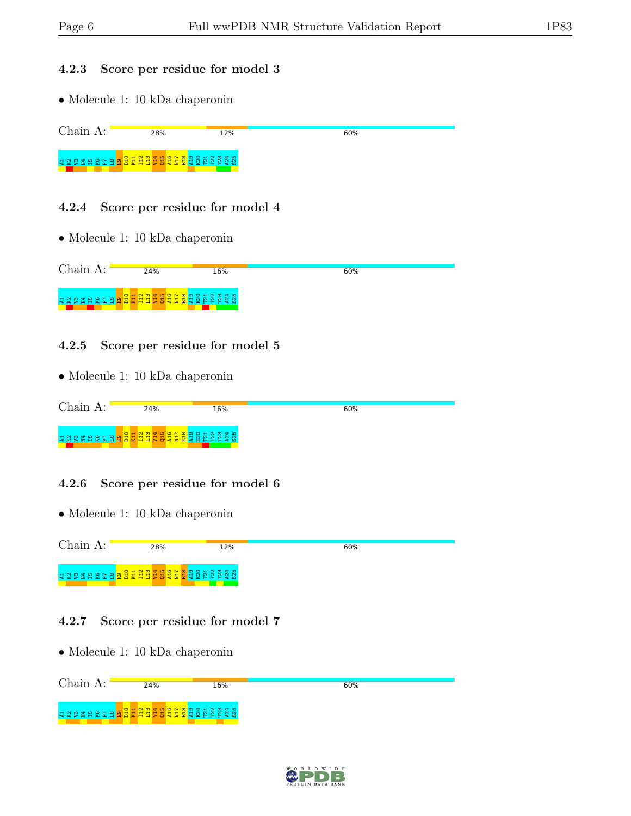#### 4.2.3 Score per residue for model 3

• Molecule 1: 10 kDa chaperonin

Chain A: 28% 60% 12% A1K2V3N4I5K6P7 L8 E9 D10 K11 I12 L13 V14 Q15 A16 N17 E18 A19 E20 T21 T22 T23 A24 S25

#### 4.2.4 Score per residue for model 4

• Molecule 1: 10 kDa chaperonin

| $Chain A$ : | 24% | 16% | 60% |
|-------------|-----|-----|-----|
|             |     |     |     |

#### 4.2.5 Score per residue for model 5

• Molecule 1: 10 kDa chaperonin

| $Chain A$ : | 24% | 16% | 60% |
|-------------|-----|-----|-----|
|             |     |     |     |

#### 4.2.6 Score per residue for model 6

• Molecule 1: 10 kDa chaperonin



#### 4.2.7 Score per residue for model 7

• Molecule 1: 10 kDa chaperonin Chain A: **24%**  $60%$ 16%

A1K2V3N4I5K6P7 L8 E9 D10 K11 I12 L13 V14 Q15 A16 N17 E18 A19 E20 T21 T22 T23 A24 S25

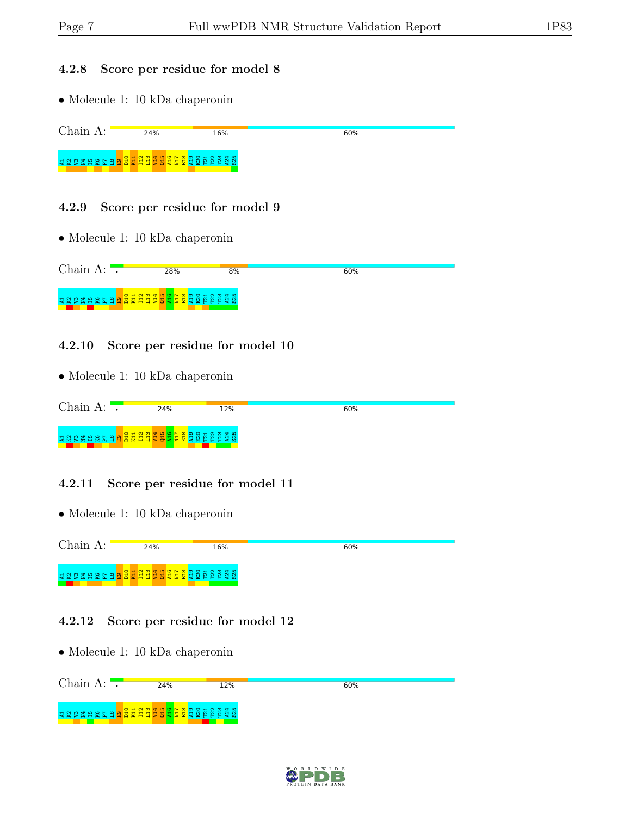#### 4.2.8 Score per residue for model 8

• Molecule 1: 10 kDa chaperonin

Chain A: 24% 60% 16% A1K2V3N4I5K6P7 L8 E9 D10 K11 I12 L13 V14 Q15 A16 N17 E18 A19 E20 T21 T22 T23 A24 S25

#### 4.2.9 Score per residue for model 9

• Molecule 1: 10 kDa chaperonin

| Chain<br>$\Delta \cdot$    |                                           | ?8%               | 8% | 60% |
|----------------------------|-------------------------------------------|-------------------|----|-----|
| <b>A Z Z Z A A A A A A</b> | $\overline{\bullet}$ $\overline{\bullet}$ | <b>ARNADA SER</b> |    |     |

#### 4.2.10 Score per residue for model 10

• Molecule 1: 10 kDa chaperonin

| Chain<br>$\Lambda$ .  |                                     | 24%      | 12%  | 60% |
|-----------------------|-------------------------------------|----------|------|-----|
| 북 22 일 별<br>يم<br>-27 | $\circ$<br>$\overline{\phantom{0}}$ | <b>E</b> | - 70 |     |

#### 4.2.11 Score per residue for model 11

• Molecule 1: 10 kDa chaperonin



#### 4.2.12 Score per residue for model 12



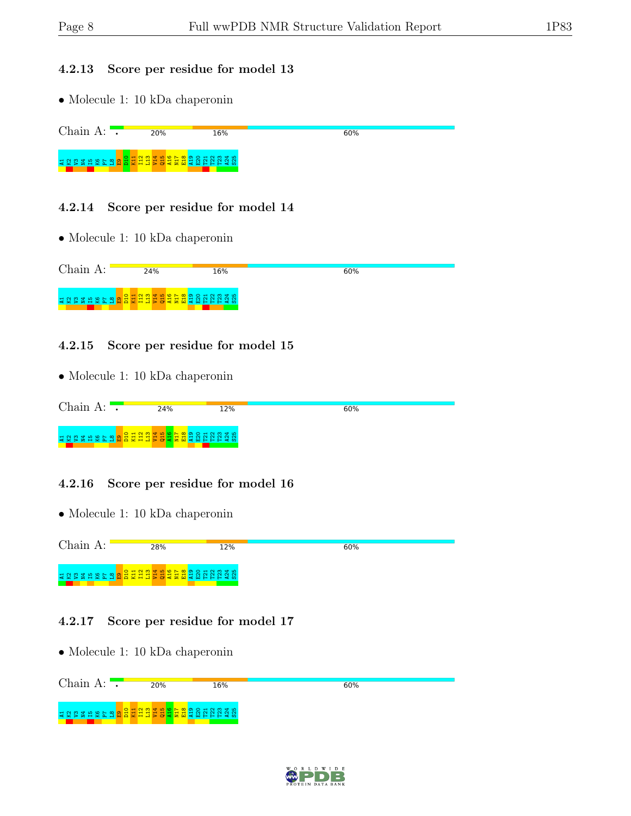#### 4.2.13 Score per residue for model 13

• Molecule 1: 10 kDa chaperonin

Chain A:  $\overline{\phantom{a}}$ 20% 60% 16% D10 K11 I12 L13 V14 Q15 A16 N17 E18 A19 E20 T21 T22 T23 A24 S25 보 Q ♡ 갈 H 오 Z 은 암 <mark>암</mark>

#### 4.2.14 Score per residue for model 14

• Molecule 1: 10 kDa chaperonin

| Chain A: | 24% | 16% | 60% |
|----------|-----|-----|-----|
|          |     |     |     |

#### 4.2.15 Score per residue for model 15

• Molecule 1: 10 kDa chaperonin

| Chain A:    |                | 24%                                       | 12%   | 60% |
|-------------|----------------|-------------------------------------------|-------|-----|
| 12002882887 | $O$ $\sim$ $N$ | <u>  육 축 뷰 뷰 축 육 축 홈 및 명 중 </u> 정 정 정 정 정 | ີ ⊄ ທ |     |

#### 4.2.16 Score per residue for model 16

• Molecule 1: 10 kDa chaperonin



#### 4.2.17 Score per residue for model 17



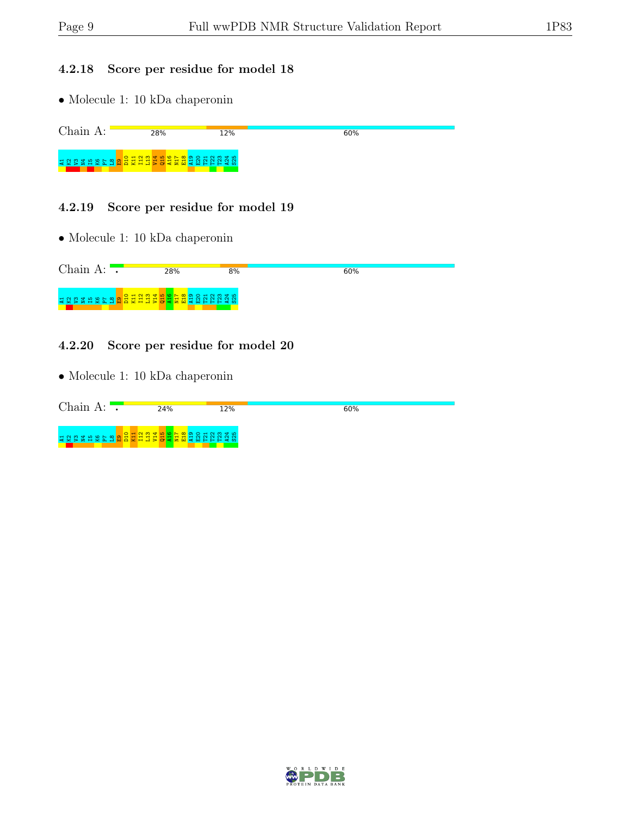#### 4.2.18 Score per residue for model 18

• Molecule 1: 10 kDa chaperonin

Chain A: **28%** 12%  $60%$ A1K2V3N4I5K6P7 L8 E9 D10 K11 I12 L13 V14 Q15 A16 N17 E18 A19 E20 T21 T22 T23 A24 S25

#### 4.2.19 Score per residue for model 19

• Molecule 1: 10 kDa chaperonin

| Chain A: | 28% | 8% | 60% |
|----------|-----|----|-----|
|          |     |    |     |

#### 4.2.20 Score per residue for model 20

| Chain<br>$\Delta$ . | 24%                                        | 12% | 60% |
|---------------------|--------------------------------------------|-----|-----|
| SSSHRFA.            | $\circ$<br>EE BORNAS<br>불출퇴<br><b>NOXH</b> |     |     |

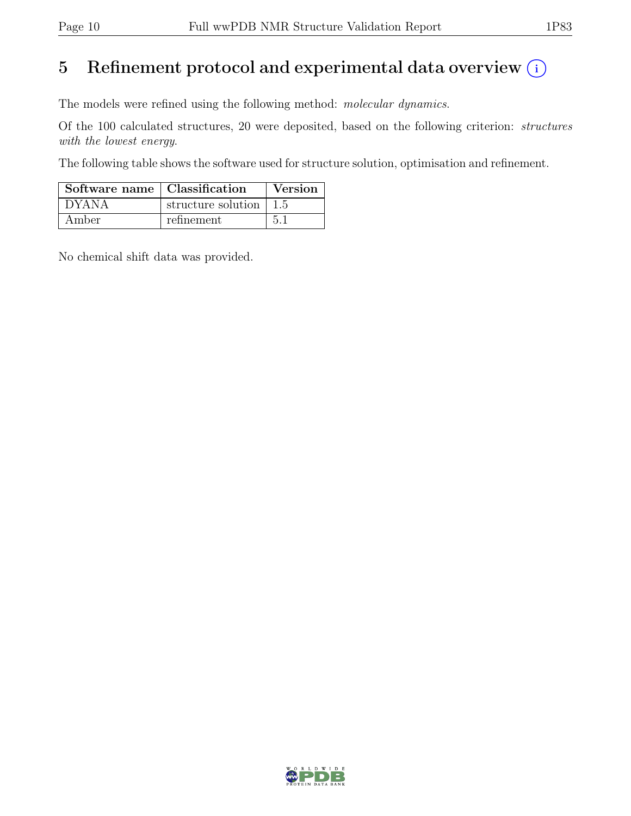## 5 Refinement protocol and experimental data overview  $(i)$

The models were refined using the following method: molecular dynamics.

Of the 100 calculated structures, 20 were deposited, based on the following criterion: structures with the lowest energy.

The following table shows the software used for structure solution, optimisation and refinement.

| Software name   Classification |                                        | Version |
|--------------------------------|----------------------------------------|---------|
| <b>DYANA</b>                   | structure solution $\vert 1.5 \rangle$ |         |
| Amber                          | refinement                             | 51      |

No chemical shift data was provided.

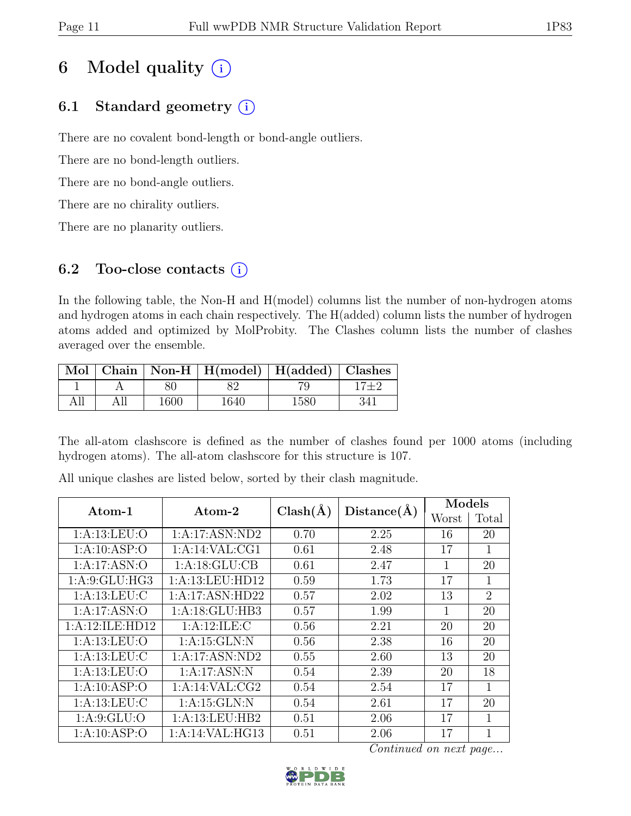## 6 Model quality  $(i)$

## 6.1 Standard geometry  $(i)$

There are no covalent bond-length or bond-angle outliers.

There are no bond-length outliers.

There are no bond-angle outliers.

There are no chirality outliers.

There are no planarity outliers.

### 6.2 Too-close contacts  $(i)$

In the following table, the Non-H and H(model) columns list the number of non-hydrogen atoms and hydrogen atoms in each chain respectively. The H(added) column lists the number of hydrogen atoms added and optimized by MolProbity. The Clashes column lists the number of clashes averaged over the ensemble.

|     |      | Mol   Chain   Non-H   H(model)   H(added)   Clashes |      |     |
|-----|------|-----------------------------------------------------|------|-----|
|     |      |                                                     |      |     |
| All | 1600 | 1640                                                | 1580 | 341 |

The all-atom clashscore is defined as the number of clashes found per 1000 atoms (including hydrogen atoms). The all-atom clashscore for this structure is 107.

| $\rm{Atom-1}$    | Atom-2          | $Clash(\AA)$ | $Distance(\AA)$ | Models |                |
|------------------|-----------------|--------------|-----------------|--------|----------------|
|                  |                 |              |                 | Worst  | Total          |
| 1: A:13: LEU:O   | 1:A:17:ASN:ND2  | 0.70         | 2.25            | 16     | 20             |
| 1: A: 10: ASP: O | 1:A:14:VAL:CG1  | 0.61         | 2.48            | 17     | 1              |
| 1:A:17:ASN:O     | 1: A:18: GLU:CB | 0.61         | 2.47            | 1      | 20             |
| 1: A:9: GLU: HG3 | 1:A:13:LEU:HD12 | 0.59         | 1.73            | 17     | $\mathbf{1}$   |
| 1: A:13:LEU: C   | 1:A:17:ASN:HD22 | 0.57         | 2.02            | 13     | $\overline{2}$ |
| 1:A:17:ASN:O     | 1:A:18:GLU:HB3  | 0.57         | 1.99            | 1      | 20             |
| 1:A:12:ILE:HD12  | 1: A:12: ILE:C  | 0.56         | 2.21            | 20     | 20             |
| 1: A:13: LEU:O   | 1: A:15: GLN:N  | 0.56         | 2.38            | 16     | 20             |
| 1: A: 13: LEU: C | 1:A:17:ASN:ND2  | 0.55         | 2.60            | 13     | 20             |
| 1:A:13:LEU:O     | 1:A:17:ASN:N    | 0.54         | 2.39            | 20     | 18             |
| 1:A:10:ASP:O     | 1:A:14:VAL:CG2  | 0.54         | 2.54            | 17     | 1              |
| 1: A: 13: LEU: C | 1: A:15: GLN:N  | 0.54         | 2.61            | 17     | 20             |
| 1: A:9: GLU:O    | 1:A:13:LEU:HB2  | 0.51         | 2.06            | 17     | $\mathbf{1}$   |
| 1:A:10:ASP:O     | 1:A:14:VAL:HG13 | 0.51         | 2.06            | 17     | 1              |

All unique clashes are listed below, sorted by their clash magnitude.

Continued on next page...

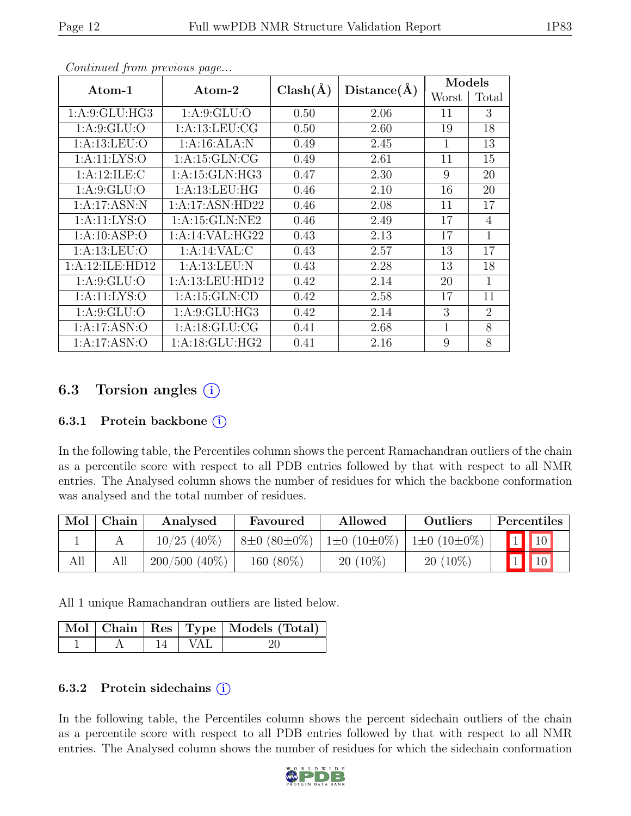|                  |                      | $Clash(\AA)$ | $Distance(\AA)$ | Models       |                             |
|------------------|----------------------|--------------|-----------------|--------------|-----------------------------|
| Atom-1           | $\rm{Atom}\text{-}2$ |              |                 | Worst        | Total                       |
| 1: A:9: GLU: HG3 | 1: A:9: GLU:O        | 0.50         | 2.06            | 11           | 3                           |
| 1: A:9: GLU:O    | 1: A:13:LEU:CG       | 0.50         | 2.60            | 19           | 18                          |
| 1: A:13:LEU:O    | 1:A:16:ALA:N         | 0.49         | 2.45            | $\mathbf{1}$ | 13                          |
| 1: A:11: LYS:O   | 1:A:15:GLN:CG        | 0.49         | 2.61            | 11           | 15                          |
| 1:A:12:ILE:C     | 1: A:15: GLN:HG3     | 0.47         | 2.30            | 9            | 20                          |
| 1: A:9: GLU:O    | 1: A:13: LEU: HG     | 0.46         | 2.10            | 16           | 20                          |
| 1:A:17:ASN:N     | 1:A:17:ASN:HD22      | 0.46         | 2.08            | 11           | 17                          |
| 1: A:11: LYS:O   | 1: A:15: GLN:NE2     | 0.46         | 2.49            | 17           | 4                           |
| 1:A:10:ASP:O     | 1:A:14:VAL:HG22      | 0.43         | 2.13            | 17           | 1                           |
| 1: A:13:LEU:O    | 1:A:14:VAL:CD        | 0.43         | 2.57            | 13           | 17                          |
| 1:A:12:ILE:HD12  | 1: A: 13: LEU: N     | 0.43         | 2.28            | 13           | 18                          |
| 1: A:9: GLU:O    | 1: A:13: LEU: HD12   | 0.42         | 2.14            | 20           | 1                           |
| 1: A: 11: LYS: O | 1:A:15:GLN:CD        | 0.42         | 2.58            | 17           | 11                          |
| 1: A:9: GLU:O    | 1: A:9: GLU: HG3     | 0.42         | 2.14            | 3            | $\mathcal{D}_{\mathcal{L}}$ |
| 1:A:17:ASN:O     | 1: A:18: GLU:CG      | 0.41         | 2.68            | $\mathbf{1}$ | 8                           |
| 1:A:17:ASN:O     | 1:A:18:GLU:HG2       | 0.41         | 2.16            | 9            | 8                           |

Continued from previous page...

### 6.3 Torsion angles  $(i)$

#### 6.3.1 Protein backbone  $(i)$

In the following table, the Percentiles column shows the percent Ramachandran outliers of the chain as a percentile score with respect to all PDB entries followed by that with respect to all NMR entries. The Analysed column shows the number of residues for which the backbone conformation was analysed and the total number of residues.

| Mol | Chain | Analysed        | Favoured         | Allowed                | Outliers          | Percentiles |  |
|-----|-------|-----------------|------------------|------------------------|-------------------|-------------|--|
|     |       | $10/25$ (40%)   | $8\pm0.80\pm0\%$ | $1\pm0$ (10 $\pm0\%$ ) | $1\pm0(10\pm0\%)$ | $\vert$ 10  |  |
| All |       | $200/500(40\%)$ | 160 (80%)        | $20(10\%)$             | $20(10\%)$        |             |  |

All 1 unique Ramachandran outliers are listed below.

|  |            | Mol   Chain   Res   Type   Models (Total) |
|--|------------|-------------------------------------------|
|  | - 14   VAL | <sup>20</sup>                             |

#### 6.3.2 Protein side chains  $(i)$

In the following table, the Percentiles column shows the percent sidechain outliers of the chain as a percentile score with respect to all PDB entries followed by that with respect to all NMR entries. The Analysed column shows the number of residues for which the sidechain conformation

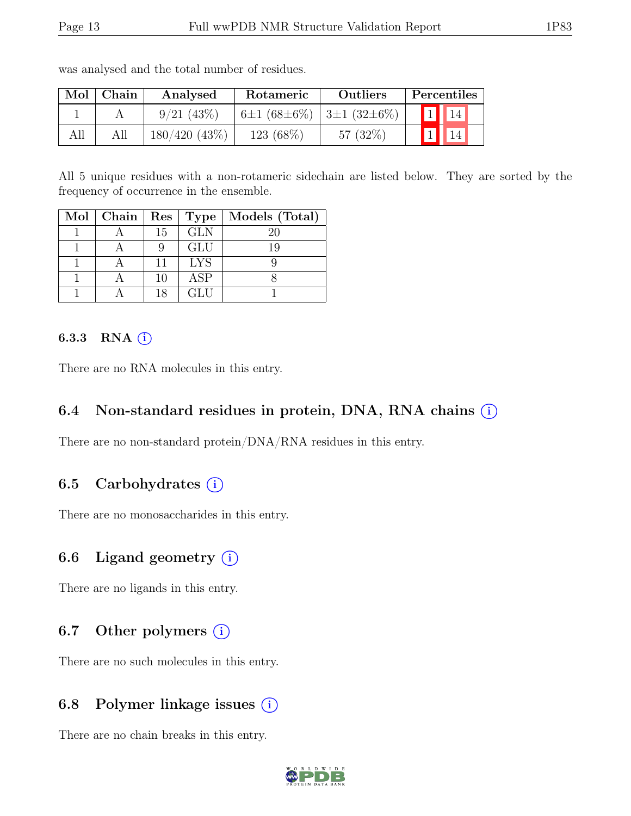| Mol | Chain | Analysed         | Rotameric                     | <b>Outliers</b> |  | Percentiles     |
|-----|-------|------------------|-------------------------------|-----------------|--|-----------------|
|     |       | 9/21(43%)        | $6\pm1(68\pm6\%)$ 3±1 (32±6%) |                 |  | 14 <sub>1</sub> |
| All |       | $180/420$ (43\%) | $123(68\%)$                   | 57 $(32\%)$     |  |                 |

was analysed and the total number of residues.

All 5 unique residues with a non-rotameric sidechain are listed below. They are sorted by the frequency of occurrence in the ensemble.

| $Mol$   Chain | Res |            | Type   Models (Total) |
|---------------|-----|------------|-----------------------|
|               | 15  | <b>GLN</b> | 20                    |
|               |     | <b>GLU</b> | 19                    |
|               |     | <b>LYS</b> |                       |
|               | 10  | ASP        |                       |
|               | 18  | GLU        |                       |

#### 6.3.3 RNA  $(i)$

There are no RNA molecules in this entry.

#### 6.4 Non-standard residues in protein, DNA, RNA chains  $(i)$

There are no non-standard protein/DNA/RNA residues in this entry.

#### 6.5 Carbohydrates  $(i)$

There are no monosaccharides in this entry.

### 6.6 Ligand geometry  $(i)$

There are no ligands in this entry.

### 6.7 Other polymers  $(i)$

There are no such molecules in this entry.

#### 6.8 Polymer linkage issues (i)

There are no chain breaks in this entry.